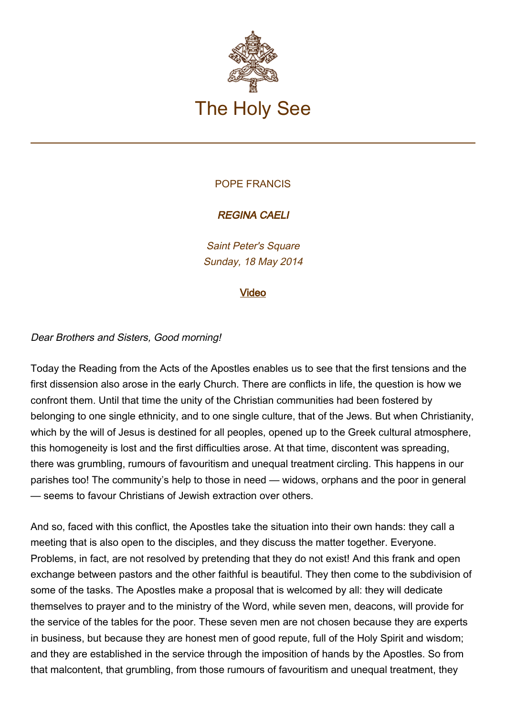

# POPE FRANCIS

# REGINA CAELI

Saint Peter's Square Sunday, 18 May 2014

### [Video](http://player.rv.va/vaticanplayer.asp?language=it&tic=VA_R9PQ984H)

### Dear Brothers and Sisters, Good morning!

Today the Reading from the Acts of the Apostles enables us to see that the first tensions and the first dissension also arose in the early Church. There are conflicts in life, the question is how we confront them. Until that time the unity of the Christian communities had been fostered by belonging to one single ethnicity, and to one single culture, that of the Jews. But when Christianity, which by the will of Jesus is destined for all peoples, opened up to the Greek cultural atmosphere, this homogeneity is lost and the first difficulties arose. At that time, discontent was spreading, there was grumbling, rumours of favouritism and unequal treatment circling. This happens in our parishes too! The community's help to those in need — widows, orphans and the poor in general — seems to favour Christians of Jewish extraction over others.

And so, faced with this conflict, the Apostles take the situation into their own hands: they call a meeting that is also open to the disciples, and they discuss the matter together. Everyone. Problems, in fact, are not resolved by pretending that they do not exist! And this frank and open exchange between pastors and the other faithful is beautiful. They then come to the subdivision of some of the tasks. The Apostles make a proposal that is welcomed by all: they will dedicate themselves to prayer and to the ministry of the Word, while seven men, deacons, will provide for the service of the tables for the poor. These seven men are not chosen because they are experts in business, but because they are honest men of good repute, full of the Holy Spirit and wisdom; and they are established in the service through the imposition of hands by the Apostles. So from that malcontent, that grumbling, from those rumours of favouritism and unequal treatment, they